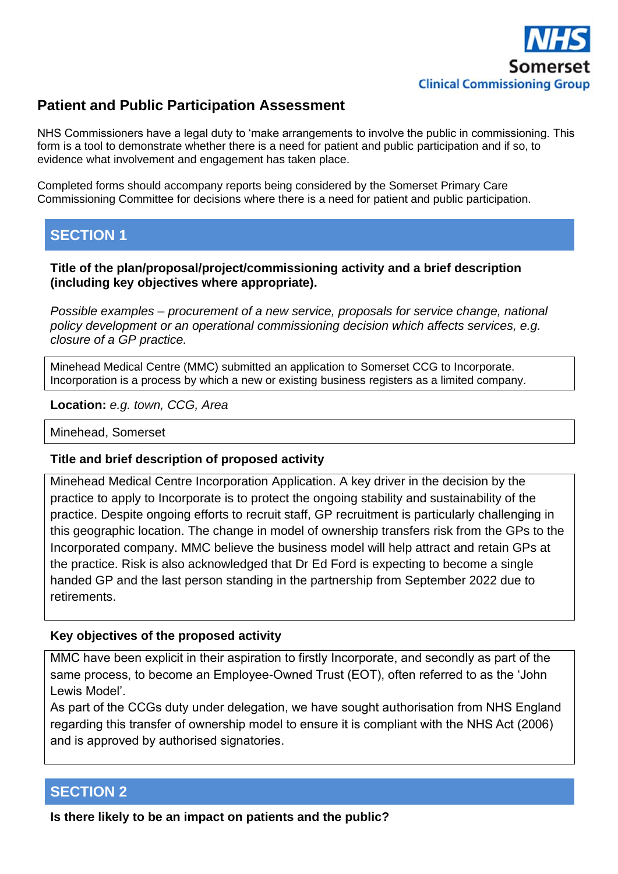

# **Patient and Public Participation Assessment**

NHS Commissioners have a legal duty to 'make arrangements to involve the public in commissioning. This form is a tool to demonstrate whether there is a need for patient and public participation and if so, to evidence what involvement and engagement has taken place.

Completed forms should accompany reports being considered by the Somerset Primary Care Commissioning Committee for decisions where there is a need for patient and public participation.

# **SECTION 1**

**Title of the plan/proposal/project/commissioning activity and a brief description (including key objectives where appropriate).**

*Possible examples – procurement of a new service, proposals for service change, national policy development or an operational commissioning decision which affects services, e.g. closure of a GP practice.*

Minehead Medical Centre (MMC) submitted an application to Somerset CCG to Incorporate. Incorporation is a process by which a new or existing business registers as a limited company.

**Location:** *e.g. town, CCG, Area*

Minehead, Somerset

#### **Title and brief description of proposed activity**

Minehead Medical Centre Incorporation Application. A key driver in the decision by the practice to apply to Incorporate is to protect the ongoing stability and sustainability of the practice. Despite ongoing efforts to recruit staff, GP recruitment is particularly challenging in this geographic location. The change in model of ownership transfers risk from the GPs to the Incorporated company. MMC believe the business model will help attract and retain GPs at the practice. Risk is also acknowledged that Dr Ed Ford is expecting to become a single handed GP and the last person standing in the partnership from September 2022 due to retirements.

## **Key objectives of the proposed activity**

MMC have been explicit in their aspiration to firstly Incorporate, and secondly as part of the same process, to become an Employee-Owned Trust (EOT), often referred to as the 'John Lewis Model'.

As part of the CCGs duty under delegation, we have sought authorisation from NHS England regarding this transfer of ownership model to ensure it is compliant with the NHS Act (2006) and is approved by authorised signatories.

## **SECTION 2**

**Is there likely to be an impact on patients and the public?**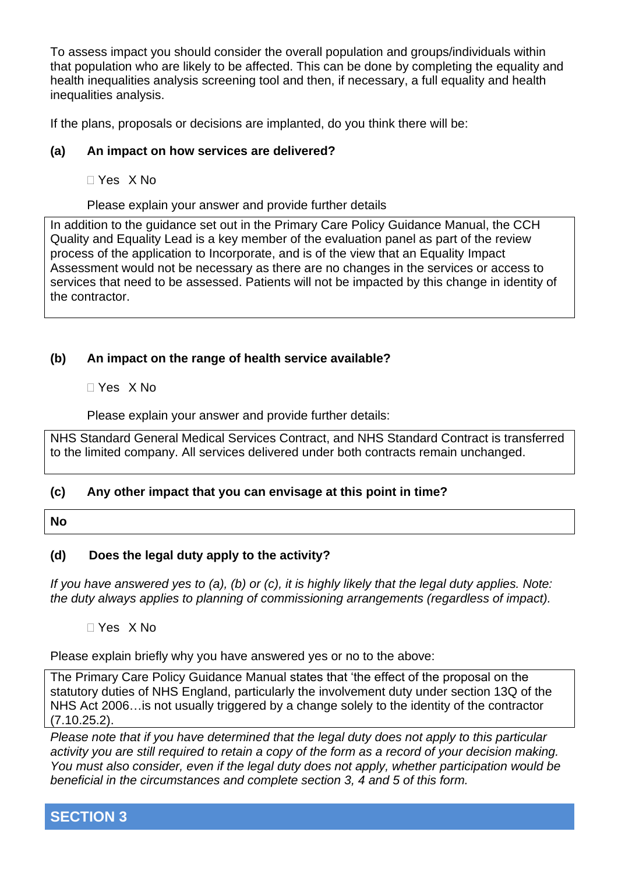To assess impact you should consider the overall population and groups/individuals within that population who are likely to be affected. This can be done by completing the equality and health inequalities analysis screening tool and then, if necessary, a full equality and health inequalities analysis.

If the plans, proposals or decisions are implanted, do you think there will be:

### **(a) An impact on how services are delivered?**

Yes X No

Please explain your answer and provide further details

In addition to the guidance set out in the Primary Care Policy Guidance Manual, the CCH Quality and Equality Lead is a key member of the evaluation panel as part of the review process of the application to Incorporate, and is of the view that an Equality Impact Assessment would not be necessary as there are no changes in the services or access to services that need to be assessed. Patients will not be impacted by this change in identity of the contractor.

## **(b) An impact on the range of health service available?**

Yes X No

Please explain your answer and provide further details:

NHS Standard General Medical Services Contract, and NHS Standard Contract is transferred to the limited company. All services delivered under both contracts remain unchanged.

## **(c) Any other impact that you can envisage at this point in time?**

#### **No**

## **(d) Does the legal duty apply to the activity?**

*If you have answered yes to (a), (b) or (c), it is highly likely that the legal duty applies. Note: the duty always applies to planning of commissioning arrangements (regardless of impact).*

Yes X No

Please explain briefly why you have answered yes or no to the above:

The Primary Care Policy Guidance Manual states that 'the effect of the proposal on the statutory duties of NHS England, particularly the involvement duty under section 13Q of the NHS Act 2006…is not usually triggered by a change solely to the identity of the contractor (7.10.25.2).

*Please note that if you have determined that the legal duty does not apply to this particular activity you are still required to retain a copy of the form as a record of your decision making. You must also consider, even if the legal duty does not apply, whether participation would be beneficial in the circumstances and complete section 3, 4 and 5 of this form.*

**SECTION 3**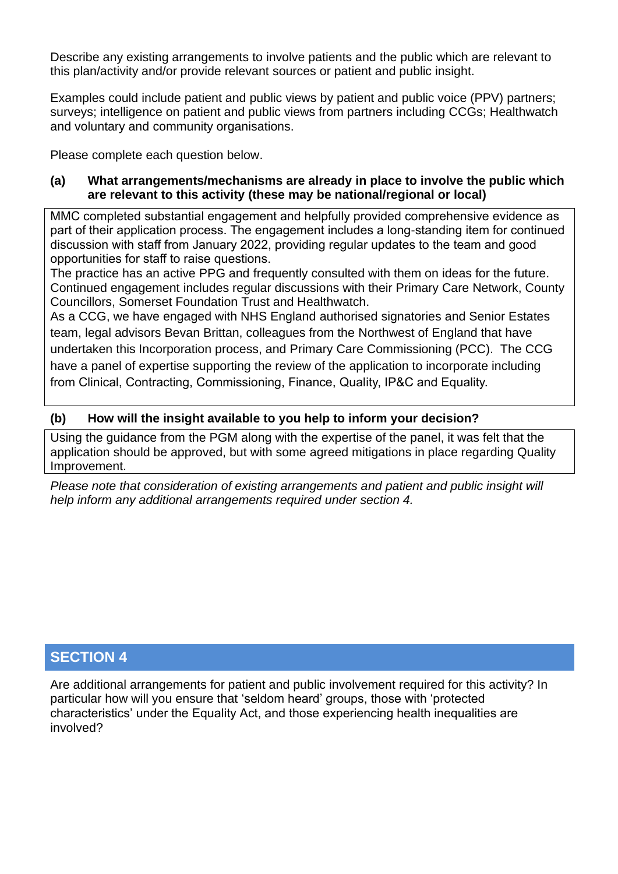Describe any existing arrangements to involve patients and the public which are relevant to this plan/activity and/or provide relevant sources or patient and public insight.

Examples could include patient and public views by patient and public voice (PPV) partners; surveys; intelligence on patient and public views from partners including CCGs; Healthwatch and voluntary and community organisations.

Please complete each question below.

#### **(a) What arrangements/mechanisms are already in place to involve the public which are relevant to this activity (these may be national/regional or local)**

MMC completed substantial engagement and helpfully provided comprehensive evidence as part of their application process. The engagement includes a long-standing item for continued discussion with staff from January 2022, providing regular updates to the team and good opportunities for staff to raise questions.

The practice has an active PPG and frequently consulted with them on ideas for the future. Continued engagement includes regular discussions with their Primary Care Network, County Councillors, Somerset Foundation Trust and Healthwatch.

As a CCG, we have engaged with NHS England authorised signatories and Senior Estates team, legal advisors Bevan Brittan, colleagues from the Northwest of England that have undertaken this Incorporation process, and Primary Care Commissioning (PCC). The CCG have a panel of expertise supporting the review of the application to incorporate including from Clinical, Contracting, Commissioning, Finance, Quality, IP&C and Equality.

## **(b) How will the insight available to you help to inform your decision?**

Using the guidance from the PGM along with the expertise of the panel, it was felt that the application should be approved, but with some agreed mitigations in place regarding Quality Improvement.

*Please note that consideration of existing arrangements and patient and public insight will help inform any additional arrangements required under section 4.*

# **SECTION 4**

Are additional arrangements for patient and public involvement required for this activity? In particular how will you ensure that 'seldom heard' groups, those with 'protected characteristics' under the Equality Act, and those experiencing health inequalities are involved?